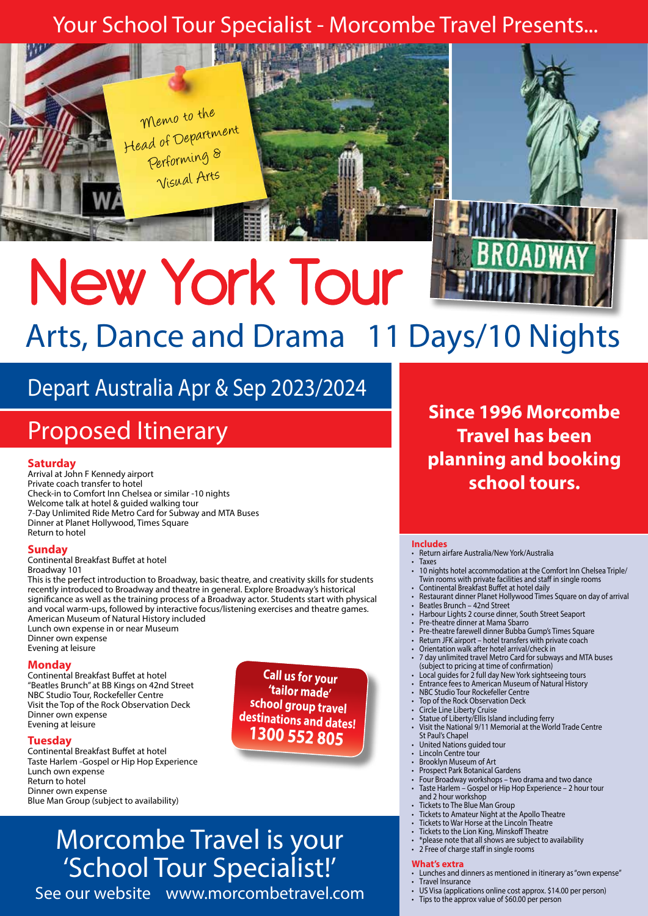# Your School Tour Specialist - Morcombe Travel Presents...



# New York Tour Arts, Dance and Drama 11 Days/10 Nights

# Depart Australia Apr & Sep 2023/2024

# Proposed Itinerary

## **Saturday**

Arrival at John F Kennedy airport Private coach transfer to hotel Check-in to Comfort Inn Chelsea or similar -10 nights Welcome talk at hotel & guided walking tour 7-Day Unlimited Ride Metro Card for Subway and MTA Buses Dinner at Planet Hollywood, Times Square Return to hotel

### **Sunday**

Continental Breakfast Buffet at hotel Broadway 101

This is the perfect introduction to Broadway, basic theatre, and creativity skills for students recently introduced to Broadway and theatre in general. Explore Broadway's historical significance as well as the training process of a Broadway actor. Students start with physical and vocal warm-ups, followed by interactive focus/listening exercises and theatre games. American Museum of Natural History included Lunch own expense in or near Museum

Dinner own expense Evening at leisure

### **Monday**

Continental Breakfast Buffet at hotel "Beatles Brunch" at BB Kings on 42nd Street NBC Studio Tour, Rockefeller Centre Visit the Top of the Rock Observation Deck Dinner own expense Evening at leisure

#### **Tuesday**

Continental Breakfast Buffet at hotel Taste Harlem -Gospel or Hip Hop Experience Lunch own expense Return to hotel Dinner own expense Blue Man Group (subject to availability)

**Call us for your 'tailor made' school group travel destinations and dates! 1300 552 805**

# Morcombe Travel is your 'School Tour Specialist!'

See our website www.morcombetravel.com

**Since 1996 Morcombe Travel has been planning and booking school tours.**

#### **Includes**

- Return airfare Australia/New York/Australia
- **Taxes** • 10 nights hotel accommodation at the Comfort Inn Chelsea Triple/ Twin rooms with private facilities and staff in single rooms
- Continental Breakfast Buffet at hotel daily • Restaurant dinner Planet Hollywood Times Square on day of arrival
- 
- Beatles Brunch 42nd Street • Harbour Lights 2 course dinner, South Street Seaport
- Pre-theatre dinner at Mama Sbarro
- Pre-theatre farewell dinner Bubba Gump's Times Square
- Return JFK airport hotel transfers with private coach
- Orientation walk after hotel arrival/check in
- 7 day unlimited travel Metro Card for subways and MTA buses (subject to pricing at time of confirmation)
- Local guides for 2 full day New York sightseeing tours
- Entrance fees to American Museum of Natural History
- NBC Studio Tour Rockefeller Centre<br>Top of the Rock Observation Deck
- Top of the Rock Observation Deck<br>• Circle Line Liberty Cruise
- Statue of Liberty/Ellis Island including ferry
- Visit the National 9/11 Memorial at the World Trade Centre St Paul's Chapel
- United Nations guided tour
- Lincoln Centre tour
- Brooklyn Museum of Art
- Prospect Park Botanical Gardens
- Four Broadway workshops two drama and two dance • Taste Harlem – Gospel or Hip Hop Experience – 2 hour tour and 2 hour workshop
- Tickets to The Blue Man Group
- Tickets to Amateur Night at the Apollo Theatre
- Tickets to War Horse at the Lincoln Theatre
- Tickets to the Lion King, Minskoff Theatre
- \*please note that all shows are subject to availability
- 2 Free of charge staff in single rooms

#### **What's extra**

- Lunches and dinners as mentioned in itinerary as "own expense"
- Travel Insurance
	- US Visa (applications online cost approx. \$14.00 per person)
- Tips to the approx value of \$60.00 per person